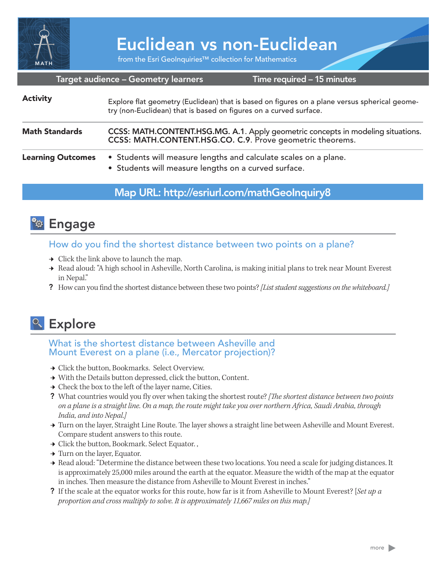

# Euclidean vs non-Euclidean

from the Esri GeoInquiries™ collection for Mathematics

#### Target audience – Geometry learners

Time required – 15 minutes

| <b>Activity</b>          | Explore flat geometry (Euclidean) that is based on figures on a plane versus spherical geome-<br>try (non-Euclidean) that is based on figures on a curved surface. |
|--------------------------|--------------------------------------------------------------------------------------------------------------------------------------------------------------------|
| <b>Math Standards</b>    | CCSS: MATH.CONTENT.HSG.MG. A.1. Apply geometric concepts in modeling situations.<br>CCSS: MATH.CONTENT.HSG.CO. C.9. Prove geometric theorems.                      |
| <b>Learning Outcomes</b> | • Students will measure lengths and calculate scales on a plane.<br>• Students will measure lengths on a curved surface.                                           |

## Map URL: http://esriurl.com/mathGeoInquiry8



How do you find the shortest distance between two points on a plane?

- $\rightarrow$  Click the link above to launch the map.
- → Read aloud: "A high school in Asheville, North Carolina, is making initial plans to trek near Mount Everest in Nepal."
- ? How can you find the shortest distance between these two points? *[List student suggestions on the whiteboard.]*



## What is the shortest distance between Asheville and Mount Everest on a plane (i.e., Mercator projection)?

- **→ Click the button, Bookmarks. Select Overview.**
- → With the Details button depressed, click the button, Content.
- $\rightarrow$  Check the box to the left of the layer name, Cities.
- ? What countries would you fly over when taking the shortest route? *[The shortest distance between two points on a plane is a straight line. On a map, the route might take you over northern Africa, Saudi Arabia, through India, and into Nepal.]*
- → Turn on the layer, Straight Line Route. The layer shows a straight line between Asheville and Mount Everest. Compare student answers to this route.
- → Click the button, Bookmark. Select Equator.,
- → Turn on the layer, Equator.
- → Read aloud: "Determine the distance between these two locations. You need a scale for judging distances. It is approximately 25,000 miles around the earth at the equator. Measure the width of the map at the equator in inches. Then measure the distance from Asheville to Mount Everest in inches."
- ? If the scale at the equator works for this route, how far is it from Asheville to Mount Everest? [*Set up a proportion and cross multiply to solve. It is approximately 11,667 miles on this map.]*